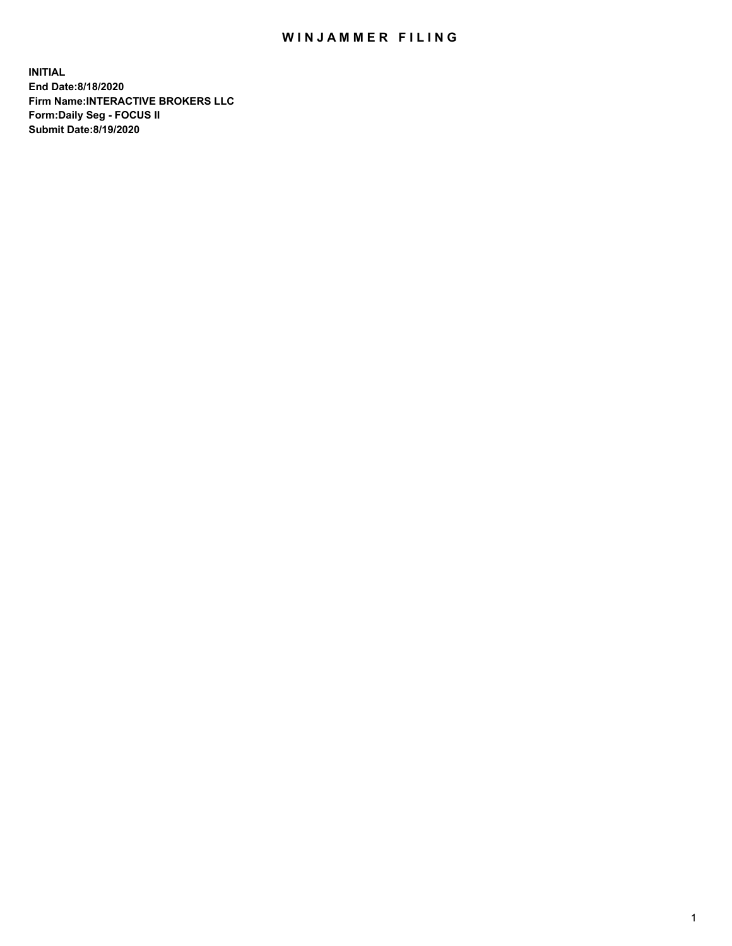## WIN JAMMER FILING

**INITIAL End Date:8/18/2020 Firm Name:INTERACTIVE BROKERS LLC Form:Daily Seg - FOCUS II Submit Date:8/19/2020**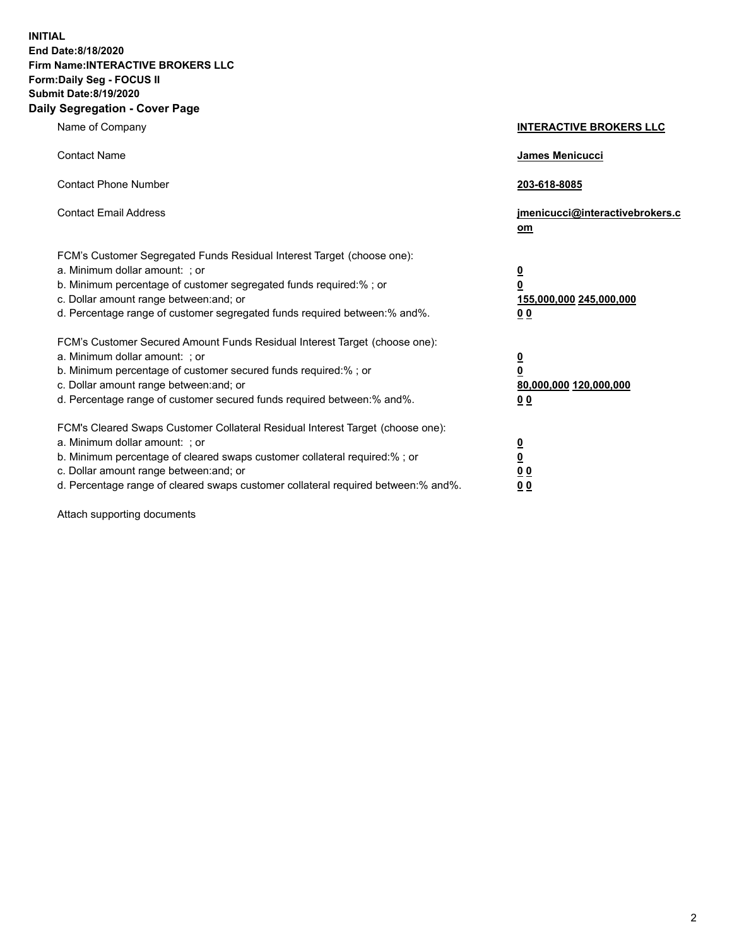**INITIAL End Date:8/18/2020 Firm Name:INTERACTIVE BROKERS LLC Form:Daily Seg - FOCUS II Submit Date:8/19/2020 Daily Segregation - Cover Page**

| Name of Company                                                                                                                                                                                                                                                                                                               | <b>INTERACTIVE BROKERS LLC</b>                                                   |
|-------------------------------------------------------------------------------------------------------------------------------------------------------------------------------------------------------------------------------------------------------------------------------------------------------------------------------|----------------------------------------------------------------------------------|
| <b>Contact Name</b>                                                                                                                                                                                                                                                                                                           | James Menicucci                                                                  |
| <b>Contact Phone Number</b>                                                                                                                                                                                                                                                                                                   | 203-618-8085                                                                     |
| <b>Contact Email Address</b>                                                                                                                                                                                                                                                                                                  | jmenicucci@interactivebrokers.c<br>om                                            |
| FCM's Customer Segregated Funds Residual Interest Target (choose one):<br>a. Minimum dollar amount: ; or<br>b. Minimum percentage of customer segregated funds required:% ; or<br>c. Dollar amount range between: and; or<br>d. Percentage range of customer segregated funds required between:% and%.                        | <u>0</u><br>$\overline{\mathbf{0}}$<br>155,000,000 245,000,000<br>0 <sub>0</sub> |
| FCM's Customer Secured Amount Funds Residual Interest Target (choose one):<br>a. Minimum dollar amount: ; or<br>b. Minimum percentage of customer secured funds required:%; or<br>c. Dollar amount range between: and; or<br>d. Percentage range of customer secured funds required between:% and%.                           | <u>0</u><br>$\overline{\mathbf{0}}$<br>80,000,000 120,000,000<br>0 <sub>0</sub>  |
| FCM's Cleared Swaps Customer Collateral Residual Interest Target (choose one):<br>a. Minimum dollar amount: ; or<br>b. Minimum percentage of cleared swaps customer collateral required:%; or<br>c. Dollar amount range between: and; or<br>d. Percentage range of cleared swaps customer collateral required between:% and%. | <u>0</u><br>$\underline{\mathbf{0}}$<br>0 <sub>0</sub><br>0 <sub>0</sub>         |

Attach supporting documents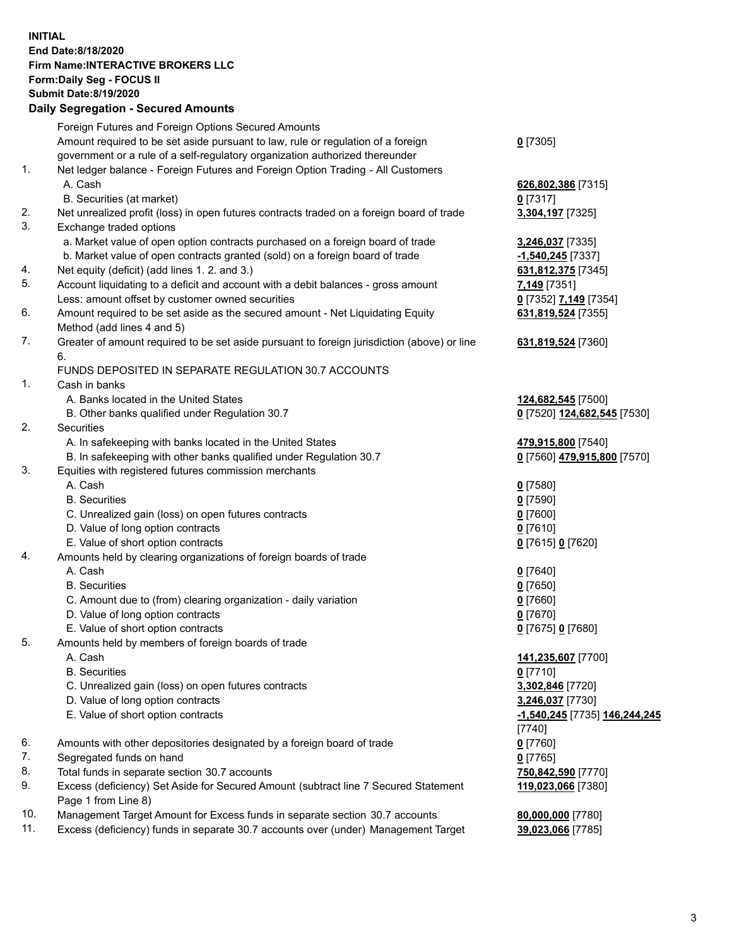**INITIAL End Date:8/18/2020 Firm Name:INTERACTIVE BROKERS LLC Form:Daily Seg - FOCUS II Submit Date:8/19/2020 Daily Segregation - Secured Amounts**

|     | Daily Segregation - Secured Amounts                                                         |                               |
|-----|---------------------------------------------------------------------------------------------|-------------------------------|
|     | Foreign Futures and Foreign Options Secured Amounts                                         |                               |
|     | Amount required to be set aside pursuant to law, rule or regulation of a foreign            | $0$ [7305]                    |
|     | government or a rule of a self-regulatory organization authorized thereunder                |                               |
| 1.  | Net ledger balance - Foreign Futures and Foreign Option Trading - All Customers             |                               |
|     | A. Cash                                                                                     | 626,802,386 [7315]            |
|     | B. Securities (at market)                                                                   | $0$ [7317]                    |
| 2.  | Net unrealized profit (loss) in open futures contracts traded on a foreign board of trade   | 3,304,197 [7325]              |
| 3.  | Exchange traded options                                                                     |                               |
|     | a. Market value of open option contracts purchased on a foreign board of trade              | 3,246,037 [7335]              |
|     | b. Market value of open contracts granted (sold) on a foreign board of trade                | -1,540,245 [7337]             |
| 4.  | Net equity (deficit) (add lines 1. 2. and 3.)                                               | 631,812,375 [7345]            |
| 5.  | Account liquidating to a deficit and account with a debit balances - gross amount           | 7,149 [7351]                  |
|     | Less: amount offset by customer owned securities                                            | 0 [7352] 7,149 [7354]         |
| 6.  | Amount required to be set aside as the secured amount - Net Liquidating Equity              |                               |
|     |                                                                                             | 631,819,524 [7355]            |
| 7.  | Method (add lines 4 and 5)                                                                  |                               |
|     | Greater of amount required to be set aside pursuant to foreign jurisdiction (above) or line | 631,819,524 [7360]            |
|     | 6.                                                                                          |                               |
|     | FUNDS DEPOSITED IN SEPARATE REGULATION 30.7 ACCOUNTS                                        |                               |
| 1.  | Cash in banks                                                                               |                               |
|     | A. Banks located in the United States                                                       | 124,682,545 [7500]            |
|     | B. Other banks qualified under Regulation 30.7                                              | 0 [7520] 124,682,545 [7530]   |
| 2.  | <b>Securities</b>                                                                           |                               |
|     | A. In safekeeping with banks located in the United States                                   | 479,915,800 [7540]            |
|     | B. In safekeeping with other banks qualified under Regulation 30.7                          | 0 [7560] 479,915,800 [7570]   |
| 3.  | Equities with registered futures commission merchants                                       |                               |
|     | A. Cash                                                                                     | $0$ [7580]                    |
|     | <b>B.</b> Securities                                                                        | $0$ [7590]                    |
|     | C. Unrealized gain (loss) on open futures contracts                                         | $0$ [7600]                    |
|     | D. Value of long option contracts                                                           | $0$ [7610]                    |
|     | E. Value of short option contracts                                                          | 0 [7615] 0 [7620]             |
| 4.  | Amounts held by clearing organizations of foreign boards of trade                           |                               |
|     | A. Cash                                                                                     | $0$ [7640]                    |
|     | <b>B.</b> Securities                                                                        | $0$ [7650]                    |
|     | C. Amount due to (from) clearing organization - daily variation                             | $0$ [7660]                    |
|     | D. Value of long option contracts                                                           | $0$ [7670]                    |
|     | E. Value of short option contracts                                                          | 0 [7675] 0 [7680]             |
| 5.  | Amounts held by members of foreign boards of trade                                          |                               |
|     | A. Cash                                                                                     | 141,235,607 [7700]            |
|     | <b>B.</b> Securities                                                                        | $0$ [7710]                    |
|     | C. Unrealized gain (loss) on open futures contracts                                         | 3,302,846 [7720]              |
|     | D. Value of long option contracts                                                           | 3,246,037 [7730]              |
|     | E. Value of short option contracts                                                          | -1,540,245 [7735] 146,244,245 |
|     |                                                                                             | $[7740]$                      |
| 6.  | Amounts with other depositories designated by a foreign board of trade                      | $0$ [7760]                    |
| 7.  | Segregated funds on hand                                                                    | $0$ [7765]                    |
| 8.  | Total funds in separate section 30.7 accounts                                               | 750,842,590 [7770]            |
| 9.  | Excess (deficiency) Set Aside for Secured Amount (subtract line 7 Secured Statement         | 119,023,066 [7380]            |
|     | Page 1 from Line 8)                                                                         |                               |
| 10. | Management Target Amount for Excess funds in separate section 30.7 accounts                 | 80,000,000 [7780]             |
| 11. | Excess (deficiency) funds in separate 30.7 accounts over (under) Management Target          | 39,023,066 [7785]             |
|     |                                                                                             |                               |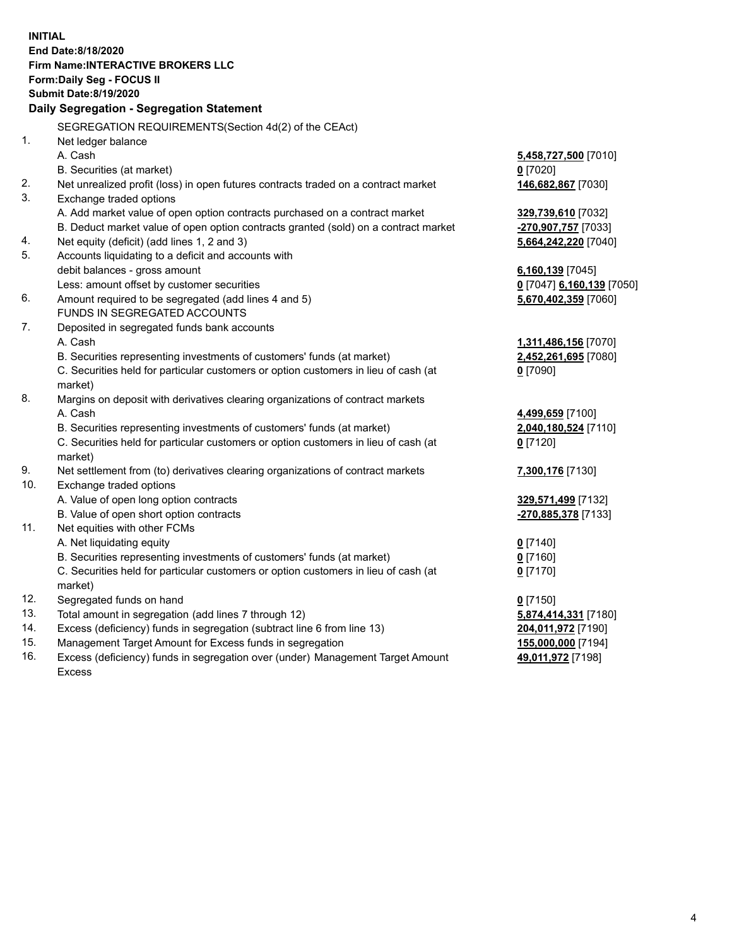**INITIAL End Date:8/18/2020 Firm Name:INTERACTIVE BROKERS LLC Form:Daily Seg - FOCUS II Submit Date:8/19/2020 Daily Segregation - Segregation Statement** SEGREGATION REQUIREMENTS(Section 4d(2) of the CEAct) 1. Net ledger balance A. Cash **5,458,727,500** [7010] B. Securities (at market) **0** [7020] 2. Net unrealized profit (loss) in open futures contracts traded on a contract market **146,682,867** [7030] 3. Exchange traded options A. Add market value of open option contracts purchased on a contract market **329,739,610** [7032] B. Deduct market value of open option contracts granted (sold) on a contract market **-270,907,757** [7033] 4. Net equity (deficit) (add lines 1, 2 and 3) **5,664,242,220** [7040] 5. Accounts liquidating to a deficit and accounts with debit balances - gross amount **6,160,139** [7045] Less: amount offset by customer securities **0** [7047] **6,160,139** [7050] 6. Amount required to be segregated (add lines 4 and 5) **5,670,402,359** [7060] FUNDS IN SEGREGATED ACCOUNTS 7. Deposited in segregated funds bank accounts A. Cash **1,311,486,156** [7070] B. Securities representing investments of customers' funds (at market) **2,452,261,695** [7080] C. Securities held for particular customers or option customers in lieu of cash (at market) **0** [7090] 8. Margins on deposit with derivatives clearing organizations of contract markets A. Cash **4,499,659** [7100] B. Securities representing investments of customers' funds (at market) **2,040,180,524** [7110] C. Securities held for particular customers or option customers in lieu of cash (at market) **0** [7120] 9. Net settlement from (to) derivatives clearing organizations of contract markets **7,300,176** [7130] 10. Exchange traded options A. Value of open long option contracts **329,571,499** [7132] B. Value of open short option contracts **-270,885,378** [7133] 11. Net equities with other FCMs A. Net liquidating equity **0** [7140] B. Securities representing investments of customers' funds (at market) **0** [7160] C. Securities held for particular customers or option customers in lieu of cash (at market) **0** [7170] 12. Segregated funds on hand **0** [7150] 13. Total amount in segregation (add lines 7 through 12) **5,874,414,331** [7180] 14. Excess (deficiency) funds in segregation (subtract line 6 from line 13) **204,011,972** [7190] 15. Management Target Amount for Excess funds in segregation **155,000,000** [7194]

16. Excess (deficiency) funds in segregation over (under) Management Target Amount Excess

**49,011,972** [7198]